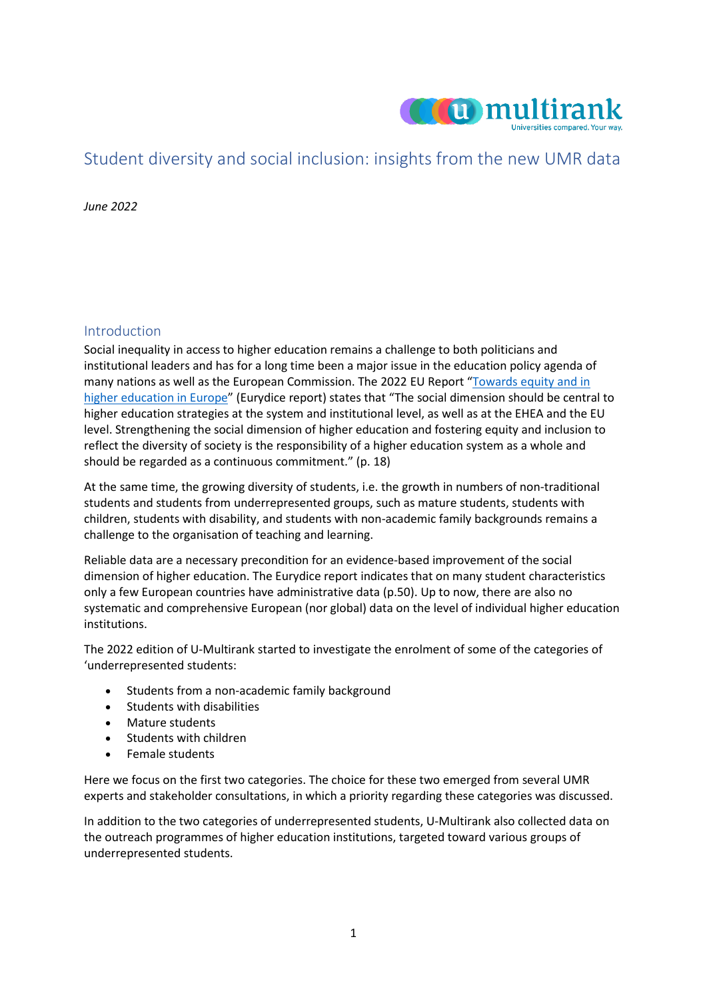

# Student diversity and social inclusion: insights from the new UMR data

*June 2022*

## Introduction

Social inequality in access to higher education remains a challenge to both politicians and institutional leaders and has for a long time been a major issue in the education policy agenda of many nations as well as the European Commission. The 2022 EU Report ["Towards equity and in](https://eacea.ec.europa.eu/national-policies/eurydice/sites/default/files/towards_equity_and_inclusion_in_he_full_report_5.pdf)  [higher education in Europe"](https://eacea.ec.europa.eu/national-policies/eurydice/sites/default/files/towards_equity_and_inclusion_in_he_full_report_5.pdf) (Eurydice report) states that "The social dimension should be central to higher education strategies at the system and institutional level, as well as at the EHEA and the EU level. Strengthening the social dimension of higher education and fostering equity and inclusion to reflect the diversity of society is the responsibility of a higher education system as a whole and should be regarded as a continuous commitment." (p. 18)

At the same time, the growing diversity of students, i.e. the growth in numbers of non-traditional students and students from underrepresented groups, such as mature students, students with children, students with disability, and students with non-academic family backgrounds remains a challenge to the organisation of teaching and learning.

Reliable data are a necessary precondition for an evidence-based improvement of the social dimension of higher education. The Eurydice report indicates that on many student characteristics only a few European countries have administrative data (p.50). Up to now, there are also no systematic and comprehensive European (nor global) data on the level of individual higher education institutions.

The 2022 edition of U-Multirank started to investigate the enrolment of some of the categories of 'underrepresented students:

- Students from a non-academic family background
- Students with disabilities
- Mature students
- Students with children
- Female students

Here we focus on the first two categories. The choice for these two emerged from several UMR experts and stakeholder consultations, in which a priority regarding these categories was discussed.

In addition to the two categories of underrepresented students, U-Multirank also collected data on the outreach programmes of higher education institutions, targeted toward various groups of underrepresented students.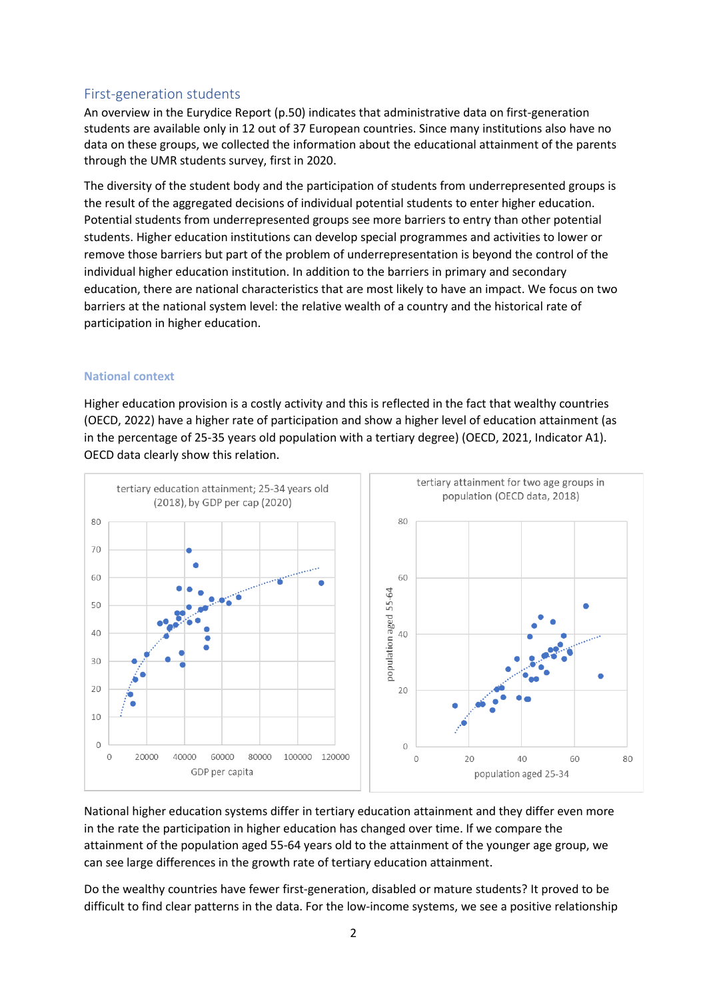# First-generation students

An overview in the Eurydice Report (p.50) indicates that administrative data on first-generation students are available only in 12 out of 37 European countries. Since many institutions also have no data on these groups, we collected the information about the educational attainment of the parents through the UMR students survey, first in 2020.

The diversity of the student body and the participation of students from underrepresented groups is the result of the aggregated decisions of individual potential students to enter higher education. Potential students from underrepresented groups see more barriers to entry than other potential students. Higher education institutions can develop special programmes and activities to lower or remove those barriers but part of the problem of underrepresentation is beyond the control of the individual higher education institution. In addition to the barriers in primary and secondary education, there are national characteristics that are most likely to have an impact. We focus on two barriers at the national system level: the relative wealth of a country and the historical rate of participation in higher education.

## **National context**

Higher education provision is a costly activity and this is reflected in the fact that wealthy countries (OECD, 2022) have a higher rate of participation and show a higher level of education attainment (as in the percentage of 25-35 years old population with a tertiary degree) (OECD, 2021, Indicator A1). OECD data clearly show this relation.



National higher education systems differ in tertiary education attainment and they differ even more in the rate the participation in higher education has changed over time. If we compare the attainment of the population aged 55-64 years old to the attainment of the younger age group, we can see large differences in the growth rate of tertiary education attainment.

Do the wealthy countries have fewer first-generation, disabled or mature students? It proved to be difficult to find clear patterns in the data. For the low-income systems, we see a positive relationship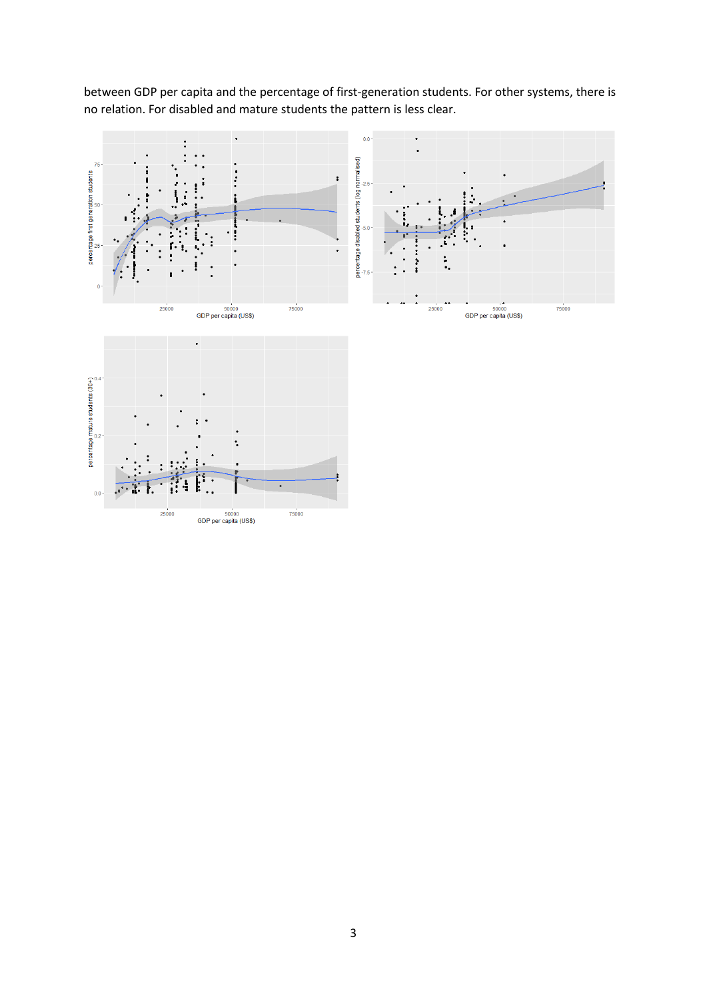between GDP per capita and the percentage of first-generation students. For other systems, there is no relation. For disabled and mature students the pattern is less clear.

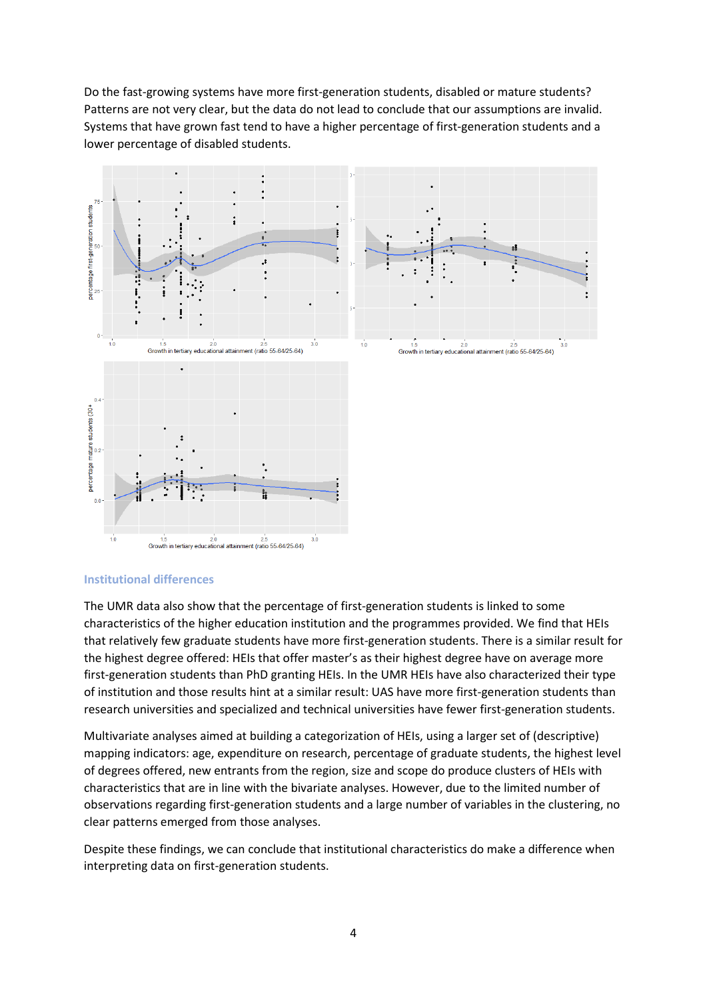Do the fast-growing systems have more first-generation students, disabled or mature students? Patterns are not very clear, but the data do not lead to conclude that our assumptions are invalid. Systems that have grown fast tend to have a higher percentage of first-generation students and a lower percentage of disabled students.



#### **Institutional differences**

The UMR data also show that the percentage of first-generation students is linked to some characteristics of the higher education institution and the programmes provided. We find that HEIs that relatively few graduate students have more first-generation students. There is a similar result for the highest degree offered: HEIs that offer master's as their highest degree have on average more first-generation students than PhD granting HEIs. In the UMR HEIs have also characterized their type of institution and those results hint at a similar result: UAS have more first-generation students than research universities and specialized and technical universities have fewer first-generation students.

Multivariate analyses aimed at building a categorization of HEIs, using a larger set of (descriptive) mapping indicators: age, expenditure on research, percentage of graduate students, the highest level of degrees offered, new entrants from the region, size and scope do produce clusters of HEIs with characteristics that are in line with the bivariate analyses. However, due to the limited number of observations regarding first-generation students and a large number of variables in the clustering, no clear patterns emerged from those analyses.

Despite these findings, we can conclude that institutional characteristics do make a difference when interpreting data on first-generation students.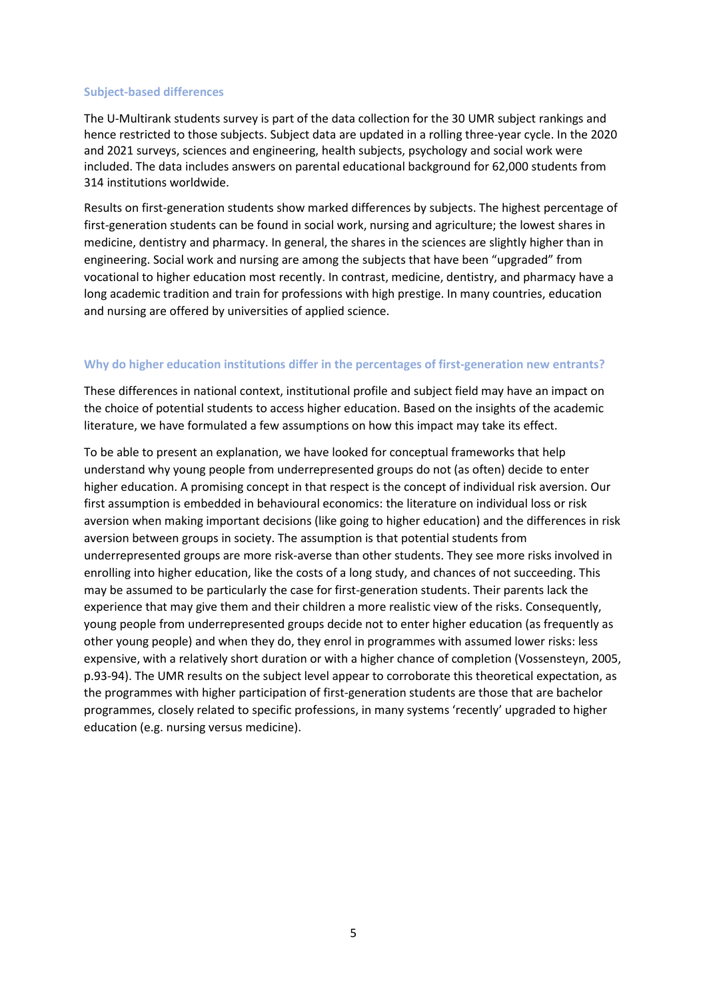#### **Subject-based differences**

The U-Multirank students survey is part of the data collection for the 30 UMR subject rankings and hence restricted to those subjects. Subject data are updated in a rolling three-year cycle. In the 2020 and 2021 surveys, sciences and engineering, health subjects, psychology and social work were included. The data includes answers on parental educational background for 62,000 students from 314 institutions worldwide.

Results on first-generation students show marked differences by subjects. The highest percentage of first-generation students can be found in social work, nursing and agriculture; the lowest shares in medicine, dentistry and pharmacy. In general, the shares in the sciences are slightly higher than in engineering. Social work and nursing are among the subjects that have been "upgraded" from vocational to higher education most recently. In contrast, medicine, dentistry, and pharmacy have a long academic tradition and train for professions with high prestige. In many countries, education and nursing are offered by universities of applied science.

#### **Why do higher education institutions differ in the percentages of first-generation new entrants?**

These differences in national context, institutional profile and subject field may have an impact on the choice of potential students to access higher education. Based on the insights of the academic literature, we have formulated a few assumptions on how this impact may take its effect.

To be able to present an explanation, we have looked for conceptual frameworks that help understand why young people from underrepresented groups do not (as often) decide to enter higher education. A promising concept in that respect is the concept of individual risk aversion. Our first assumption is embedded in behavioural economics: the literature on individual loss or risk aversion when making important decisions (like going to higher education) and the differences in risk aversion between groups in society. The assumption is that potential students from underrepresented groups are more risk-averse than other students. They see more risks involved in enrolling into higher education, like the costs of a long study, and chances of not succeeding. This may be assumed to be particularly the case for first-generation students. Their parents lack the experience that may give them and their children a more realistic view of the risks. Consequently, young people from underrepresented groups decide not to enter higher education (as frequently as other young people) and when they do, they enrol in programmes with assumed lower risks: less expensive, with a relatively short duration or with a higher chance of completion (Vossensteyn, 2005, p.93-94). The UMR results on the subject level appear to corroborate this theoretical expectation, as the programmes with higher participation of first-generation students are those that are bachelor programmes, closely related to specific professions, in many systems 'recently' upgraded to higher education (e.g. nursing versus medicine).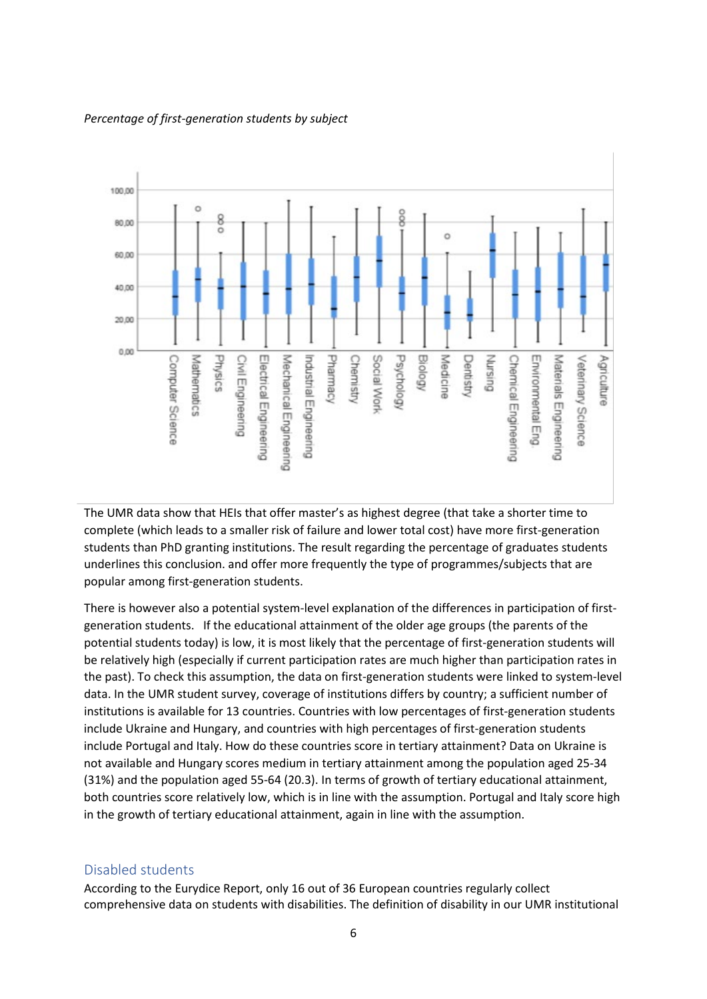

#### *Percentage of first-generation students by subject*

The UMR data show that HEIs that offer master's as highest degree (that take a shorter time to complete (which leads to a smaller risk of failure and lower total cost) have more first-generation students than PhD granting institutions. The result regarding the percentage of graduates students underlines this conclusion. and offer more frequently the type of programmes/subjects that are popular among first-generation students.

There is however also a potential system-level explanation of the differences in participation of firstgeneration students. If the educational attainment of the older age groups (the parents of the potential students today) is low, it is most likely that the percentage of first-generation students will be relatively high (especially if current participation rates are much higher than participation rates in the past). To check this assumption, the data on first-generation students were linked to system-level data. In the UMR student survey, coverage of institutions differs by country; a sufficient number of institutions is available for 13 countries. Countries with low percentages of first-generation students include Ukraine and Hungary, and countries with high percentages of first-generation students include Portugal and Italy. How do these countries score in tertiary attainment? Data on Ukraine is not available and Hungary scores medium in tertiary attainment among the population aged 25-34 (31%) and the population aged 55-64 (20.3). In terms of growth of tertiary educational attainment, both countries score relatively low, which is in line with the assumption. Portugal and Italy score high in the growth of tertiary educational attainment, again in line with the assumption.

#### Disabled students

According to the Eurydice Report, only 16 out of 36 European countries regularly collect comprehensive data on students with disabilities. The definition of disability in our UMR institutional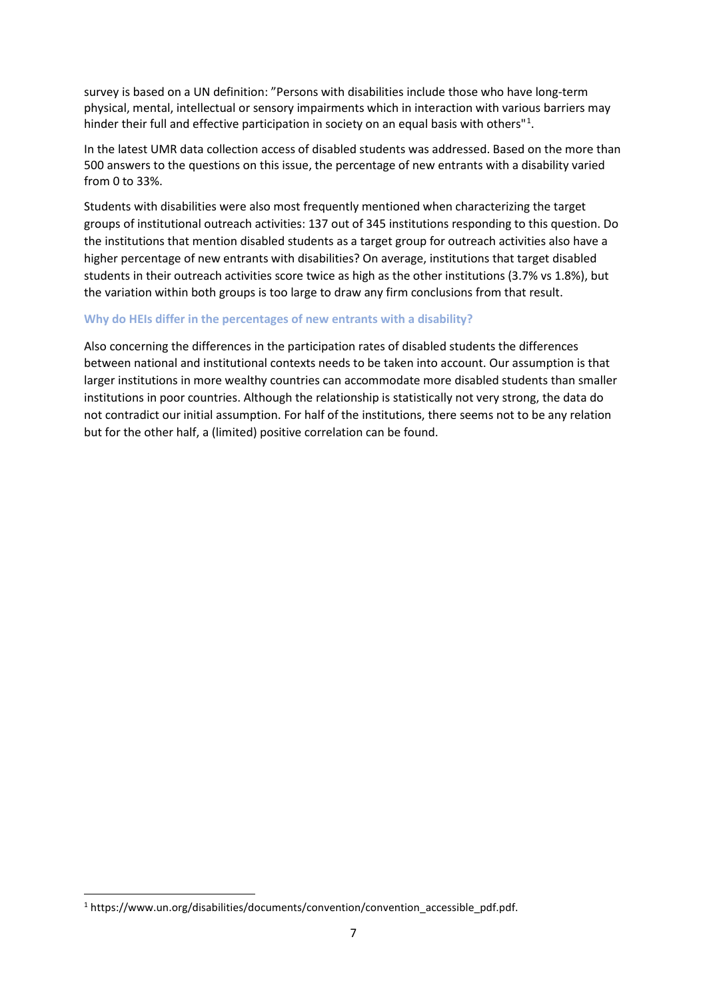survey is based on a UN definition: "Persons with disabilities include those who have long-term physical, mental, intellectual or sensory impairments which in interaction with various barriers may hinder their full and effective participation in society on an equal basis with others"<sup>[1](#page-6-0)</sup>.

In the latest UMR data collection access of disabled students was addressed. Based on the more than 500 answers to the questions on this issue, the percentage of new entrants with a disability varied from 0 to 33%.

Students with disabilities were also most frequently mentioned when characterizing the target groups of institutional outreach activities: 137 out of 345 institutions responding to this question. Do the institutions that mention disabled students as a target group for outreach activities also have a higher percentage of new entrants with disabilities? On average, institutions that target disabled students in their outreach activities score twice as high as the other institutions (3.7% vs 1.8%), but the variation within both groups is too large to draw any firm conclusions from that result.

#### **Why do HEIs differ in the percentages of new entrants with a disability?**

Also concerning the differences in the participation rates of disabled students the differences between national and institutional contexts needs to be taken into account. Our assumption is that larger institutions in more wealthy countries can accommodate more disabled students than smaller institutions in poor countries. Although the relationship is statistically not very strong, the data do not contradict our initial assumption. For half of the institutions, there seems not to be any relation but for the other half, a (limited) positive correlation can be found.

<span id="page-6-0"></span><sup>1</sup> https://www.un.org/disabilities/documents/convention/convention\_accessible\_pdf.pdf.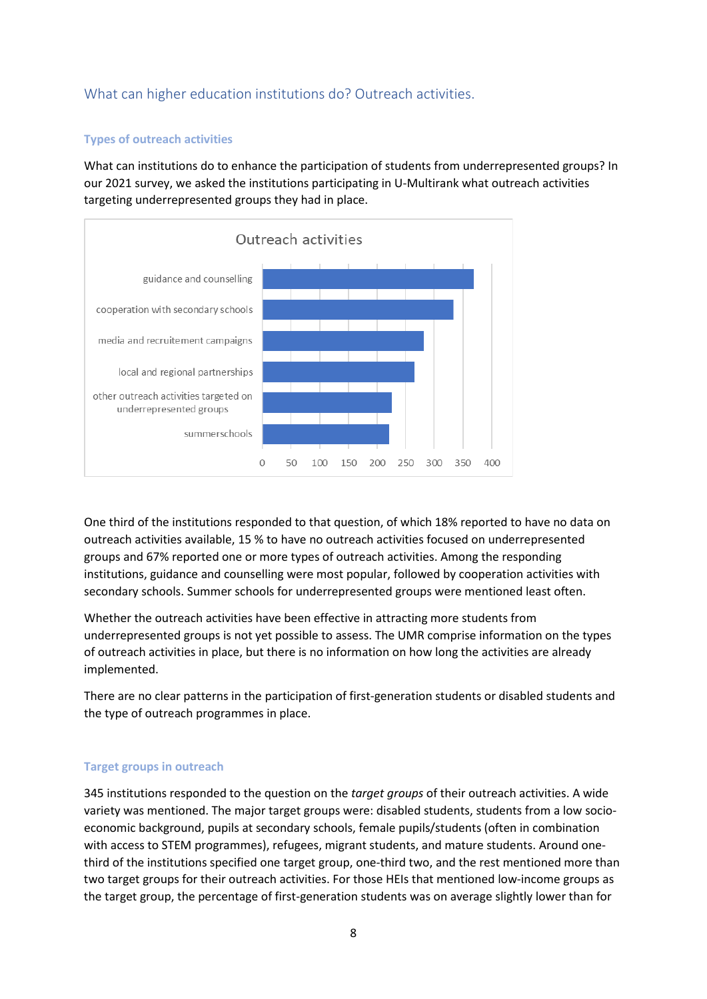# What can higher education institutions do? Outreach activities.

## **Types of outreach activities**

What can institutions do to enhance the participation of students from underrepresented groups? In our 2021 survey, we asked the institutions participating in U-Multirank what outreach activities targeting underrepresented groups they had in place.



One third of the institutions responded to that question, of which 18% reported to have no data on outreach activities available, 15 % to have no outreach activities focused on underrepresented groups and 67% reported one or more types of outreach activities. Among the responding institutions, guidance and counselling were most popular, followed by cooperation activities with secondary schools. Summer schools for underrepresented groups were mentioned least often.

Whether the outreach activities have been effective in attracting more students from underrepresented groups is not yet possible to assess. The UMR comprise information on the types of outreach activities in place, but there is no information on how long the activities are already implemented.

There are no clear patterns in the participation of first-generation students or disabled students and the type of outreach programmes in place.

#### **Target groups in outreach**

345 institutions responded to the question on the *target groups* of their outreach activities. A wide variety was mentioned. The major target groups were: disabled students, students from a low socioeconomic background, pupils at secondary schools, female pupils/students (often in combination with access to STEM programmes), refugees, migrant students, and mature students. Around onethird of the institutions specified one target group, one-third two, and the rest mentioned more than two target groups for their outreach activities. For those HEIs that mentioned low-income groups as the target group, the percentage of first-generation students was on average slightly lower than for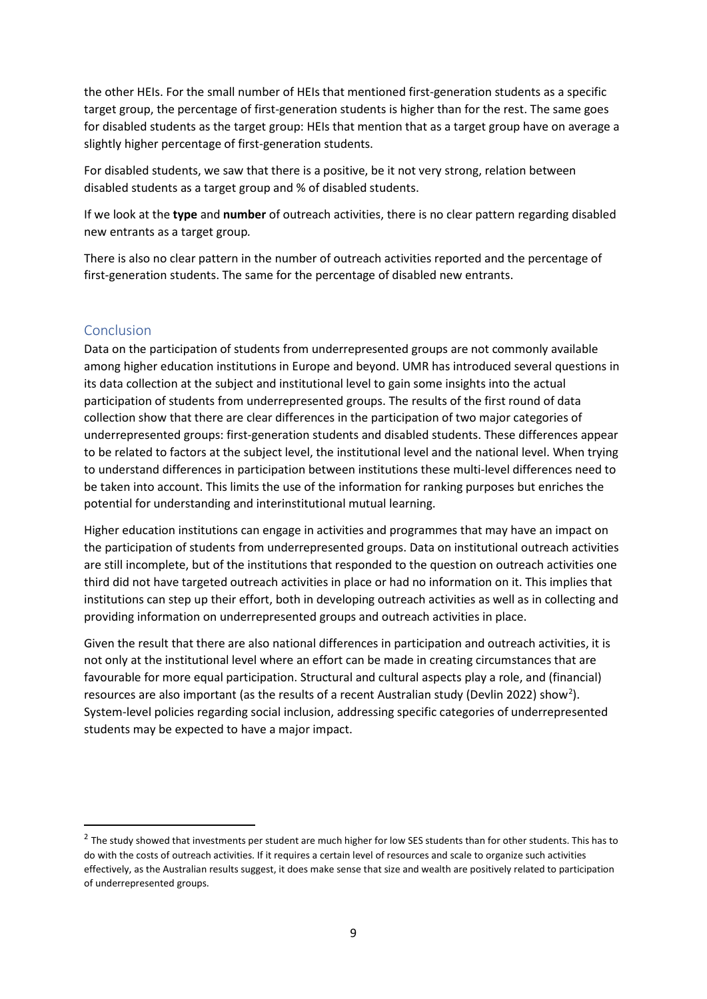the other HEIs. For the small number of HEIs that mentioned first-generation students as a specific target group, the percentage of first-generation students is higher than for the rest. The same goes for disabled students as the target group: HEIs that mention that as a target group have on average a slightly higher percentage of first-generation students.

For disabled students, we saw that there is a positive, be it not very strong, relation between disabled students as a target group and % of disabled students.

If we look at the **type** and **number** of outreach activities, there is no clear pattern regarding disabled new entrants as a target group*.*

There is also no clear pattern in the number of outreach activities reported and the percentage of first-generation students. The same for the percentage of disabled new entrants.

# **Conclusion**

Data on the participation of students from underrepresented groups are not commonly available among higher education institutions in Europe and beyond. UMR has introduced several questions in its data collection at the subject and institutional level to gain some insights into the actual participation of students from underrepresented groups. The results of the first round of data collection show that there are clear differences in the participation of two major categories of underrepresented groups: first-generation students and disabled students. These differences appear to be related to factors at the subject level, the institutional level and the national level. When trying to understand differences in participation between institutions these multi-level differences need to be taken into account. This limits the use of the information for ranking purposes but enriches the potential for understanding and interinstitutional mutual learning.

Higher education institutions can engage in activities and programmes that may have an impact on the participation of students from underrepresented groups. Data on institutional outreach activities are still incomplete, but of the institutions that responded to the question on outreach activities one third did not have targeted outreach activities in place or had no information on it. This implies that institutions can step up their effort, both in developing outreach activities as well as in collecting and providing information on underrepresented groups and outreach activities in place.

Given the result that there are also national differences in participation and outreach activities, it is not only at the institutional level where an effort can be made in creating circumstances that are favourable for more equal participation. Structural and cultural aspects play a role, and (financial) resources are also important (as the results of a recent Australian study (Devlin [2](#page-8-0)022) show<sup>2</sup>). System-level policies regarding social inclusion, addressing specific categories of underrepresented students may be expected to have a major impact.

<span id="page-8-0"></span> $2$  The study showed that investments per student are much higher for low SES students than for other students. This has to do with the costs of outreach activities. If it requires a certain level of resources and scale to organize such activities effectively, as the Australian results suggest, it does make sense that size and wealth are positively related to participation of underrepresented groups.